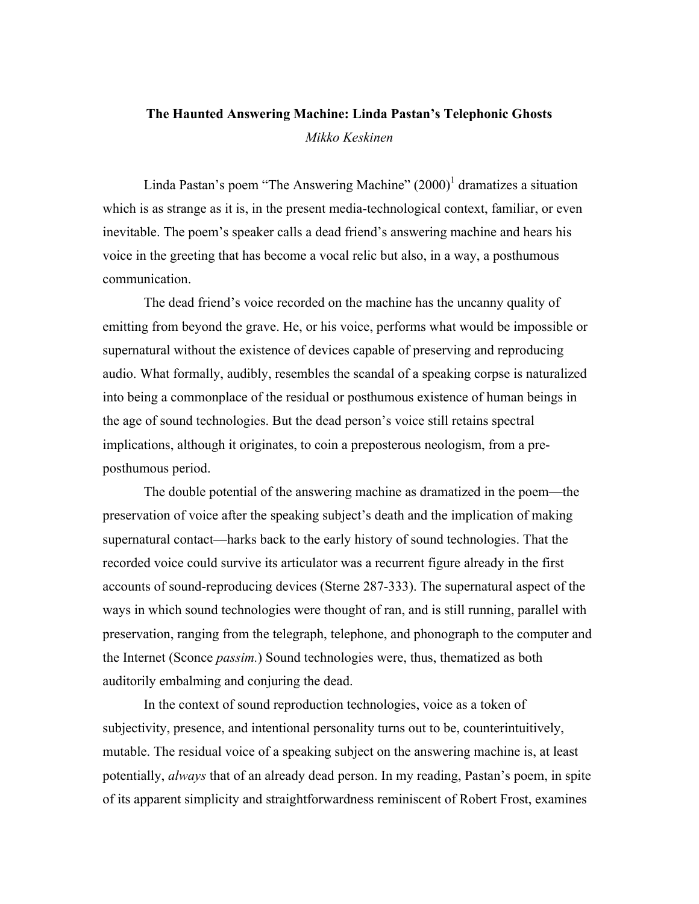# The Haunted Answering Machine: Linda Pastan's Telephonic Ghosts *Mikko Keskinen*

Linda Pastan's poem "The Answering Machine" (2000)<sup>1</sup> dramatizes a situation which is as strange as it is, in the present media-technological context, familiar, or even inevitable. The poem's speaker calls a dead friend's answering machine and hears his voice in the greeting that has become a vocal relic but also, in a way, a posthumous communication.

The dead friend's voice recorded on the machine has the uncanny quality of emitting from beyond the grave. He, or his voice, performs what would be impossible or supernatural without the existence of devices capable of preserving and reproducing audio. What formally, audibly, resembles the scandal of a speaking corpse is naturalized into being a commonplace of the residual or posthumous existence of human beings in the age of sound technologies. But the dead person's voice still retains spectral implications, although it originates, to coin a preposterous neologism, from a preposthumous period.

The double potential of the answering machine as dramatized in the poem—the preservation of voice after the speaking subject's death and the implication of making supernatural contact—harks back to the early history of sound technologies. That the recorded voice could survive its articulator was a recurrent figure already in the first accounts of sound-reproducing devices (Sterne 287-333). The supernatural aspect of the ways in which sound technologies were thought of ran, and is still running, parallel with preservation, ranging from the telegraph, telephone, and phonograph to the computer and the Internet (Sconce *passim.*) Sound technologies were, thus, thematized as both auditorily embalming and conjuring the dead.

In the context of sound reproduction technologies, voice as a token of subjectivity, presence, and intentional personality turns out to be, counterintuitively, mutable. The residual voice of a speaking subject on the answering machine is, at least potentially, *always* that of an already dead person. In my reading, Pastan's poem, in spite of its apparent simplicity and straightforwardness reminiscent of Robert Frost, examines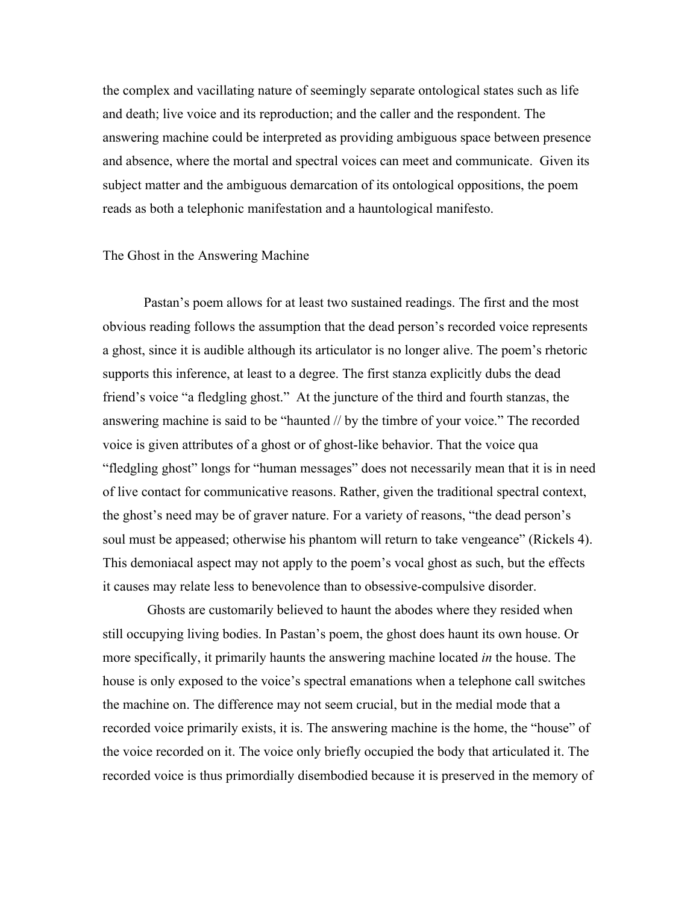the complex and vacillating nature of seemingly separate ontological states such as life and death; live voice and its reproduction; and the caller and the respondent. The answering machine could be interpreted as providing ambiguous space between presence and absence, where the mortal and spectral voices can meet and communicate. Given its subject matter and the ambiguous demarcation of its ontological oppositions, the poem reads as both a telephonic manifestation and a hauntological manifesto.

#### The Ghost in the Answering Machine

Pastan's poem allows for at least two sustained readings. The first and the most obvious reading follows the assumption that the dead person's recorded voice represents a ghost, since it is audible although its articulator is no longer alive. The poem's rhetoric supports this inference, at least to a degree. The first stanza explicitly dubs the dead friend's voice "a fledgling ghost." At the juncture of the third and fourth stanzas, the answering machine is said to be "haunted // by the timbre of your voice." The recorded voice is given attributes of a ghost or of ghost-like behavior. That the voice qua "fledgling ghost" longs for "human messages" does not necessarily mean that it is in need of live contact for communicative reasons. Rather, given the traditional spectral context, the ghost's need may be of graver nature. For a variety of reasons, "the dead person's soul must be appeased; otherwise his phantom will return to take vengeance" (Rickels 4). This demoniacal aspect may not apply to the poem's vocal ghost as such, but the effects it causes may relate less to benevolence than to obsessive-compulsive disorder.

 Ghosts are customarily believed to haunt the abodes where they resided when still occupying living bodies. In Pastan's poem, the ghost does haunt its own house. Or more specifically, it primarily haunts the answering machine located *in* the house. The house is only exposed to the voice's spectral emanations when a telephone call switches the machine on. The difference may not seem crucial, but in the medial mode that a recorded voice primarily exists, it is. The answering machine is the home, the "house" of the voice recorded on it. The voice only briefly occupied the body that articulated it. The recorded voice is thus primordially disembodied because it is preserved in the memory of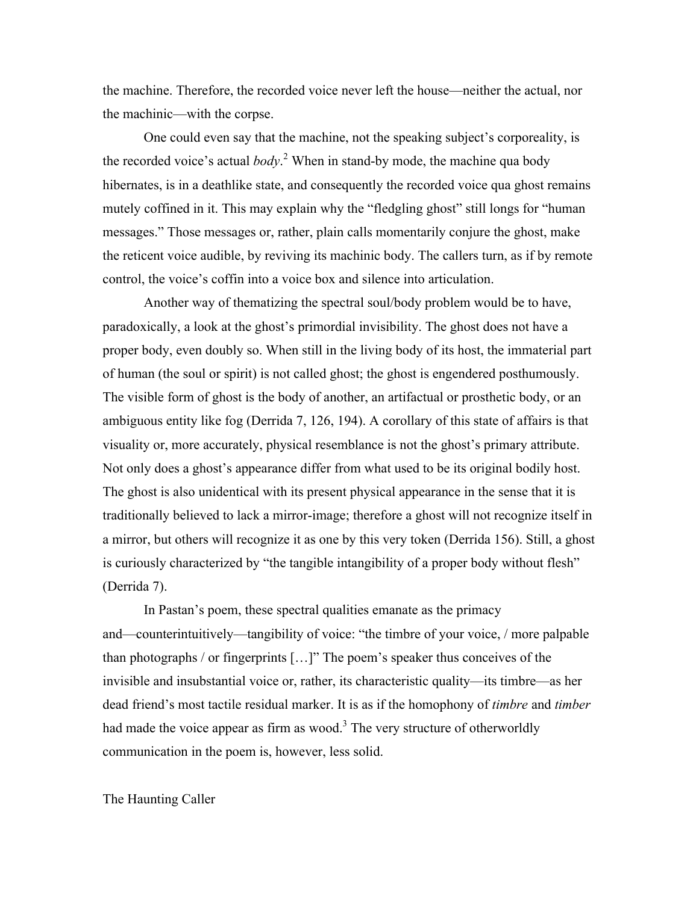the machine. Therefore, the recorded voice never left the house—neither the actual, nor the machinic—with the corpse.

One could even say that the machine, not the speaking subject's corporeality, is the recorded voice's actual *body*. 2 When in stand-by mode, the machine qua body hibernates, is in a deathlike state, and consequently the recorded voice qua ghost remains mutely coffined in it. This may explain why the "fledgling ghost" still longs for "human messages." Those messages or, rather, plain calls momentarily conjure the ghost, make the reticent voice audible, by reviving its machinic body. The callers turn, as if by remote control, the voice's coffin into a voice box and silence into articulation.

Another way of thematizing the spectral soul/body problem would be to have, paradoxically, a look at the ghost's primordial invisibility. The ghost does not have a proper body, even doubly so. When still in the living body of its host, the immaterial part of human (the soul or spirit) is not called ghost; the ghost is engendered posthumously. The visible form of ghost is the body of another, an artifactual or prosthetic body, or an ambiguous entity like fog (Derrida 7, 126, 194). A corollary of this state of affairs is that visuality or, more accurately, physical resemblance is not the ghost's primary attribute. Not only does a ghost's appearance differ from what used to be its original bodily host. The ghost is also unidentical with its present physical appearance in the sense that it is traditionally believed to lack a mirror-image; therefore a ghost will not recognize itself in a mirror, but others will recognize it as one by this very token (Derrida 156). Still, a ghost is curiously characterized by "the tangible intangibility of a proper body without flesh" (Derrida 7).

In Pastan's poem, these spectral qualities emanate as the primacy and—counterintuitively—tangibility of voice: "the timbre of your voice, / more palpable than photographs / or fingerprints […]" The poem's speaker thus conceives of the invisible and insubstantial voice or, rather, its characteristic quality—its timbre—as her dead friend's most tactile residual marker. It is as if the homophony of *timbre* and *timber* had made the voice appear as firm as wood.<sup>3</sup> The very structure of otherworldly communication in the poem is, however, less solid.

## The Haunting Caller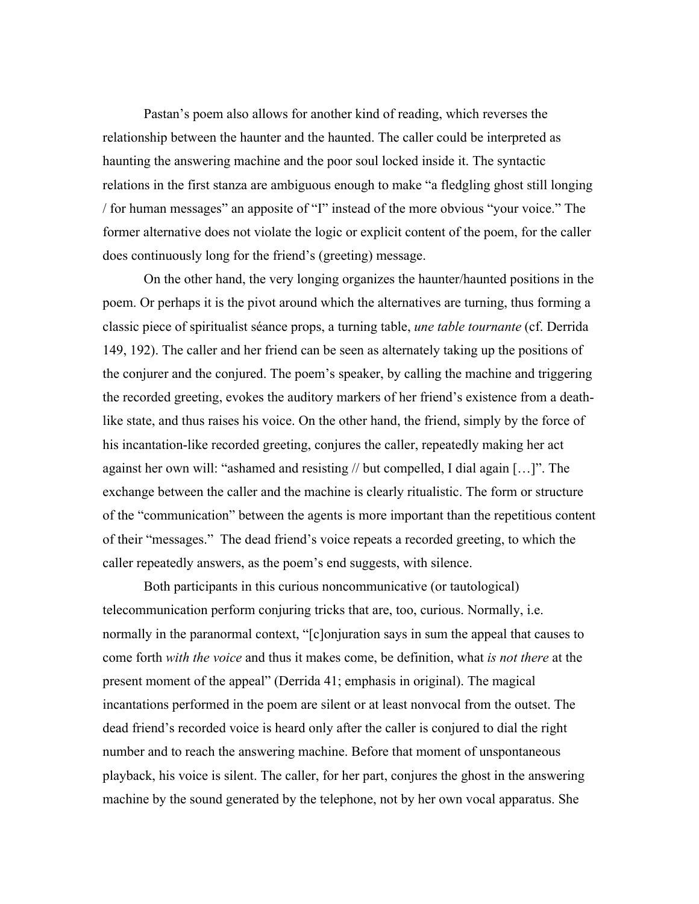Pastan's poem also allows for another kind of reading, which reverses the relationship between the haunter and the haunted. The caller could be interpreted as haunting the answering machine and the poor soul locked inside it. The syntactic relations in the first stanza are ambiguous enough to make "a fledgling ghost still longing / for human messages" an apposite of "I" instead of the more obvious "your voice." The former alternative does not violate the logic or explicit content of the poem, for the caller does continuously long for the friend's (greeting) message.

On the other hand, the very longing organizes the haunter/haunted positions in the poem. Or perhaps it is the pivot around which the alternatives are turning, thus forming a classic piece of spiritualist séance props, a turning table, *une table tournante* (cf. Derrida 149, 192). The caller and her friend can be seen as alternately taking up the positions of the conjurer and the conjured. The poem's speaker, by calling the machine and triggering the recorded greeting, evokes the auditory markers of her friend's existence from a deathlike state, and thus raises his voice. On the other hand, the friend, simply by the force of his incantation-like recorded greeting, conjures the caller, repeatedly making her act against her own will: "ashamed and resisting // but compelled, I dial again […]". The exchange between the caller and the machine is clearly ritualistic. The form or structure of the "communication" between the agents is more important than the repetitious content of their "messages." The dead friend's voice repeats a recorded greeting, to which the caller repeatedly answers, as the poem's end suggests, with silence.

Both participants in this curious noncommunicative (or tautological) telecommunication perform conjuring tricks that are, too, curious. Normally, i.e. normally in the paranormal context, "[c]onjuration says in sum the appeal that causes to come forth *with the voice* and thus it makes come, be definition, what *is not there* at the present moment of the appeal" (Derrida 41; emphasis in original). The magical incantations performed in the poem are silent or at least nonvocal from the outset. The dead friend's recorded voice is heard only after the caller is conjured to dial the right number and to reach the answering machine. Before that moment of unspontaneous playback, his voice is silent. The caller, for her part, conjures the ghost in the answering machine by the sound generated by the telephone, not by her own vocal apparatus. She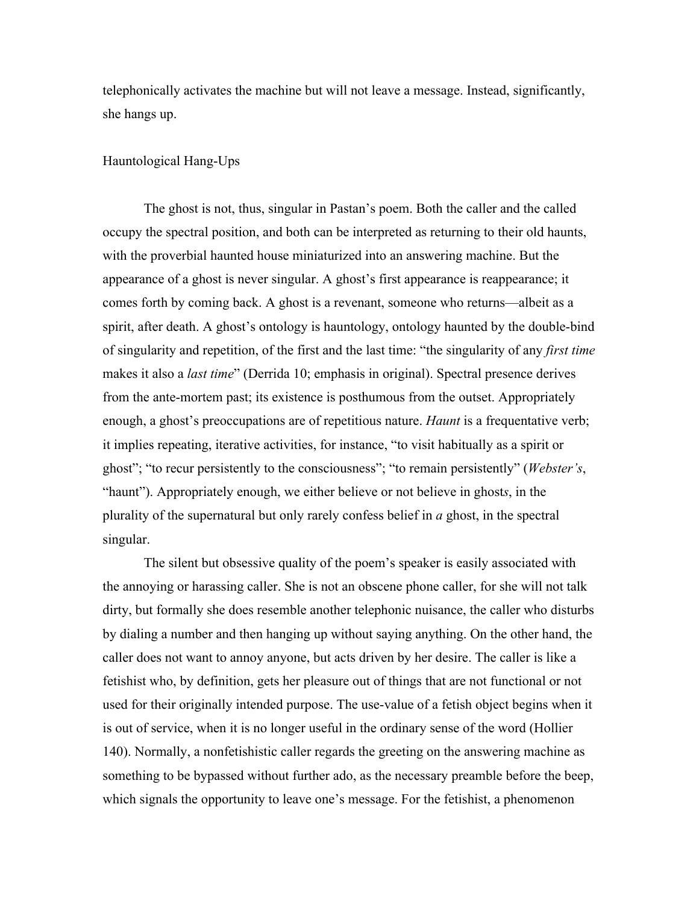telephonically activates the machine but will not leave a message. Instead, significantly, she hangs up.

## Hauntological Hang-Ups

The ghost is not, thus, singular in Pastan's poem. Both the caller and the called occupy the spectral position, and both can be interpreted as returning to their old haunts, with the proverbial haunted house miniaturized into an answering machine. But the appearance of a ghost is never singular. A ghost's first appearance is reappearance; it comes forth by coming back. A ghost is a revenant, someone who returns—albeit as a spirit, after death. A ghost's ontology is hauntology, ontology haunted by the double-bind of singularity and repetition, of the first and the last time: "the singularity of any *first time* makes it also a *last time*" (Derrida 10; emphasis in original). Spectral presence derives from the ante-mortem past; its existence is posthumous from the outset. Appropriately enough, a ghost's preoccupations are of repetitious nature. *Haunt* is a frequentative verb; it implies repeating, iterative activities, for instance, "to visit habitually as a spirit or ghost"; "to recur persistently to the consciousness"; "to remain persistently" (*Webster's*, "haunt"). Appropriately enough, we either believe or not believe in ghost*s*, in the plurality of the supernatural but only rarely confess belief in *a* ghost, in the spectral singular.

The silent but obsessive quality of the poem's speaker is easily associated with the annoying or harassing caller. She is not an obscene phone caller, for she will not talk dirty, but formally she does resemble another telephonic nuisance, the caller who disturbs by dialing a number and then hanging up without saying anything. On the other hand, the caller does not want to annoy anyone, but acts driven by her desire. The caller is like a fetishist who, by definition, gets her pleasure out of things that are not functional or not used for their originally intended purpose. The use-value of a fetish object begins when it is out of service, when it is no longer useful in the ordinary sense of the word (Hollier 140). Normally, a nonfetishistic caller regards the greeting on the answering machine as something to be bypassed without further ado, as the necessary preamble before the beep, which signals the opportunity to leave one's message. For the fetishist, a phenomenon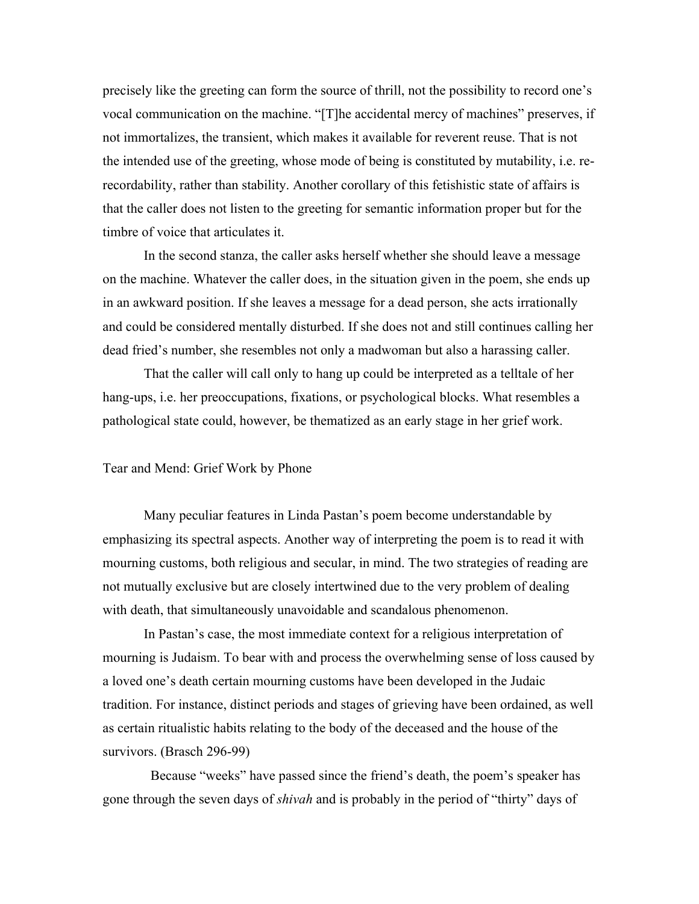precisely like the greeting can form the source of thrill, not the possibility to record one's vocal communication on the machine. "[T]he accidental mercy of machines" preserves, if not immortalizes, the transient, which makes it available for reverent reuse. That is not the intended use of the greeting, whose mode of being is constituted by mutability, i.e. rerecordability, rather than stability. Another corollary of this fetishistic state of affairs is that the caller does not listen to the greeting for semantic information proper but for the timbre of voice that articulates it.

In the second stanza, the caller asks herself whether she should leave a message on the machine. Whatever the caller does, in the situation given in the poem, she ends up in an awkward position. If she leaves a message for a dead person, she acts irrationally and could be considered mentally disturbed. If she does not and still continues calling her dead fried's number, she resembles not only a madwoman but also a harassing caller.

That the caller will call only to hang up could be interpreted as a telltale of her hang-ups, i.e. her preoccupations, fixations, or psychological blocks. What resembles a pathological state could, however, be thematized as an early stage in her grief work.

#### Tear and Mend: Grief Work by Phone

Many peculiar features in Linda Pastan's poem become understandable by emphasizing its spectral aspects. Another way of interpreting the poem is to read it with mourning customs, both religious and secular, in mind. The two strategies of reading are not mutually exclusive but are closely intertwined due to the very problem of dealing with death, that simultaneously unavoidable and scandalous phenomenon.

In Pastan's case, the most immediate context for a religious interpretation of mourning is Judaism. To bear with and process the overwhelming sense of loss caused by a loved one's death certain mourning customs have been developed in the Judaic tradition. For instance, distinct periods and stages of grieving have been ordained, as well as certain ritualistic habits relating to the body of the deceased and the house of the survivors. (Brasch 296-99)

 Because "weeks" have passed since the friend's death, the poem's speaker has gone through the seven days of *shivah* and is probably in the period of "thirty" days of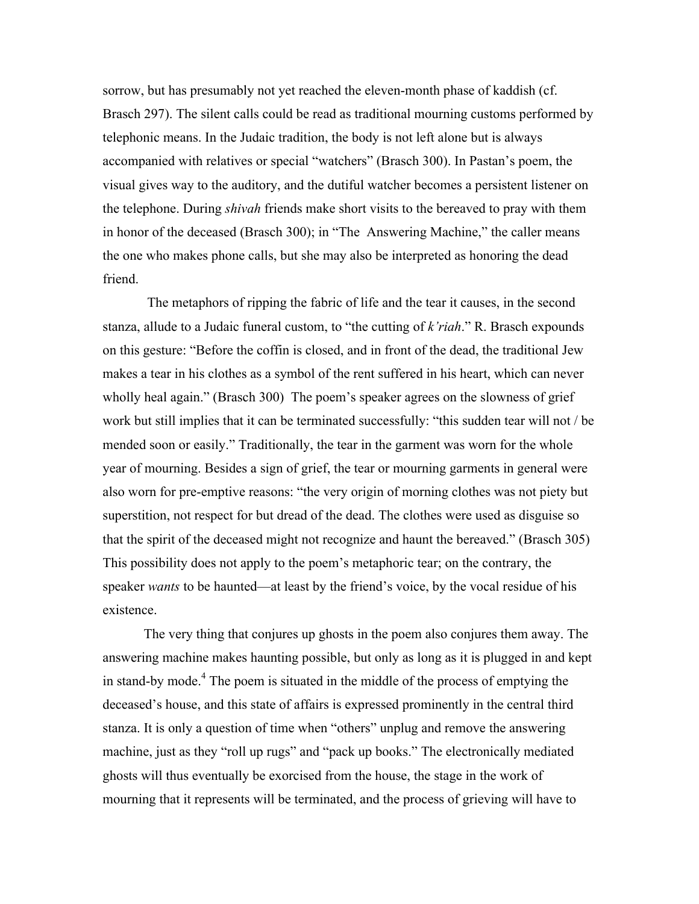sorrow, but has presumably not yet reached the eleven-month phase of kaddish (cf. Brasch 297). The silent calls could be read as traditional mourning customs performed by telephonic means. In the Judaic tradition, the body is not left alone but is always accompanied with relatives or special "watchers" (Brasch 300). In Pastan's poem, the visual gives way to the auditory, and the dutiful watcher becomes a persistent listener on the telephone. During *shivah* friends make short visits to the bereaved to pray with them in honor of the deceased (Brasch 300); in "The Answering Machine," the caller means the one who makes phone calls, but she may also be interpreted as honoring the dead friend.

 The metaphors of ripping the fabric of life and the tear it causes, in the second stanza, allude to a Judaic funeral custom, to "the cutting of *k'riah*." R. Brasch expounds on this gesture: "Before the coffin is closed, and in front of the dead, the traditional Jew makes a tear in his clothes as a symbol of the rent suffered in his heart, which can never wholly heal again." (Brasch 300) The poem's speaker agrees on the slowness of grief work but still implies that it can be terminated successfully: "this sudden tear will not / be mended soon or easily." Traditionally, the tear in the garment was worn for the whole year of mourning. Besides a sign of grief, the tear or mourning garments in general were also worn for pre-emptive reasons: "the very origin of morning clothes was not piety but superstition, not respect for but dread of the dead. The clothes were used as disguise so that the spirit of the deceased might not recognize and haunt the bereaved." (Brasch 305) This possibility does not apply to the poem's metaphoric tear; on the contrary, the speaker *wants* to be haunted—at least by the friend's voice, by the vocal residue of his existence.

The very thing that conjures up ghosts in the poem also conjures them away. The answering machine makes haunting possible, but only as long as it is plugged in and kept in stand-by mode.<sup>4</sup> The poem is situated in the middle of the process of emptying the deceased's house, and this state of affairs is expressed prominently in the central third stanza. It is only a question of time when "others" unplug and remove the answering machine, just as they "roll up rugs" and "pack up books." The electronically mediated ghosts will thus eventually be exorcised from the house, the stage in the work of mourning that it represents will be terminated, and the process of grieving will have to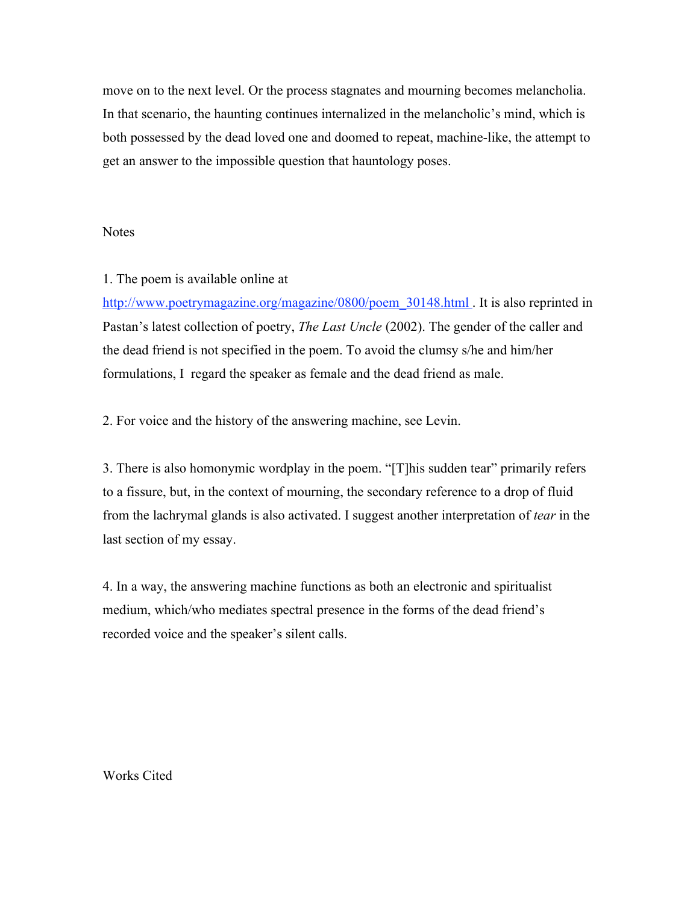move on to the next level. Or the process stagnates and mourning becomes melancholia. In that scenario, the haunting continues internalized in the melancholic's mind, which is both possessed by the dead loved one and doomed to repeat, machine-like, the attempt to get an answer to the impossible question that hauntology poses.

#### **Notes**

# 1. The poem is available online at

http://www.poetrymagazine.org/magazine/0800/poem\_30148.html . It is also reprinted in Pastan's latest collection of poetry, *The Last Uncle* (2002). The gender of the caller and the dead friend is not specified in the poem. To avoid the clumsy s/he and him/her formulations, I regard the speaker as female and the dead friend as male.

2. For voice and the history of the answering machine, see Levin.

3. There is also homonymic wordplay in the poem. "[T]his sudden tear" primarily refers to a fissure, but, in the context of mourning, the secondary reference to a drop of fluid from the lachrymal glands is also activated. I suggest another interpretation of *tear* in the last section of my essay.

4. In a way, the answering machine functions as both an electronic and spiritualist medium, which/who mediates spectral presence in the forms of the dead friend's recorded voice and the speaker's silent calls.

Works Cited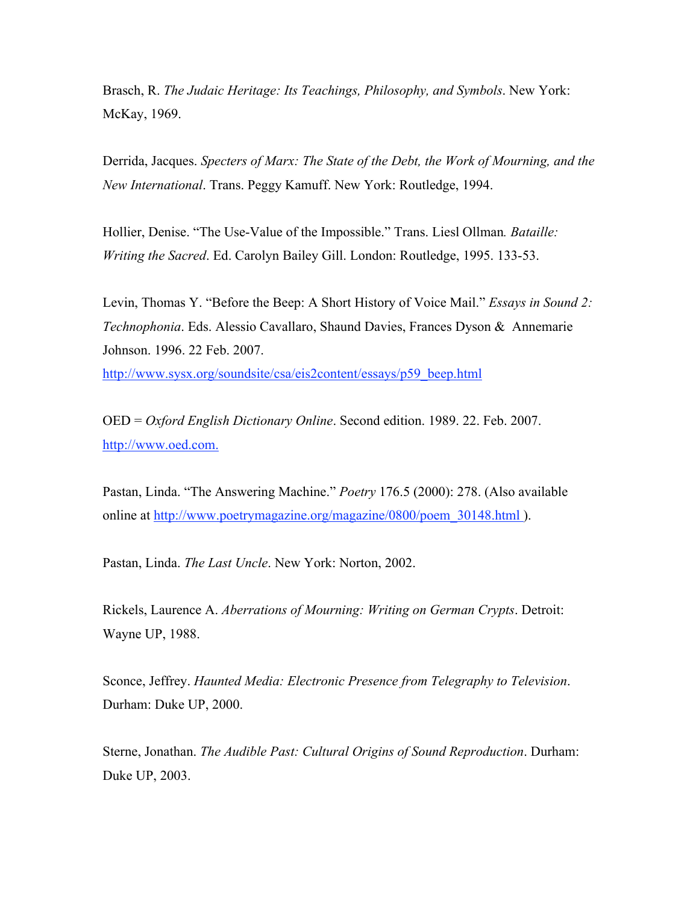Brasch, R. *The Judaic Heritage: Its Teachings, Philosophy, and Symbols*. New York: McKay, 1969.

Derrida, Jacques. *Specters of Marx: The State of the Debt, the Work of Mourning, and the New International*. Trans. Peggy Kamuff. New York: Routledge, 1994.

Hollier, Denise. "The Use-Value of the Impossible." Trans. Liesl Ollman*. Bataille: Writing the Sacred*. Ed. Carolyn Bailey Gill. London: Routledge, 1995. 133-53.

Levin, Thomas Y. "Before the Beep: A Short History of Voice Mail." *Essays in Sound 2: Technophonia*. Eds. Alessio Cavallaro, Shaund Davies, Frances Dyson & Annemarie Johnson. 1996. 22 Feb. 2007.

http://www.sysx.org/soundsite/csa/eis2content/essays/p59\_beep.html

OED = *Oxford English Dictionary Online*. Second edition. 1989. 22. Feb. 2007. http://www.oed.com.

Pastan, Linda. "The Answering Machine." *Poetry* 176.5 (2000): 278. (Also available online at http://www.poetrymagazine.org/magazine/0800/poem\_30148.html ).

Pastan, Linda. *The Last Uncle*. New York: Norton, 2002.

Rickels, Laurence A. *Aberrations of Mourning: Writing on German Crypts*. Detroit: Wayne UP, 1988.

Sconce, Jeffrey. *Haunted Media: Electronic Presence from Telegraphy to Television*. Durham: Duke UP, 2000.

Sterne, Jonathan. *The Audible Past: Cultural Origins of Sound Reproduction*. Durham: Duke UP, 2003.